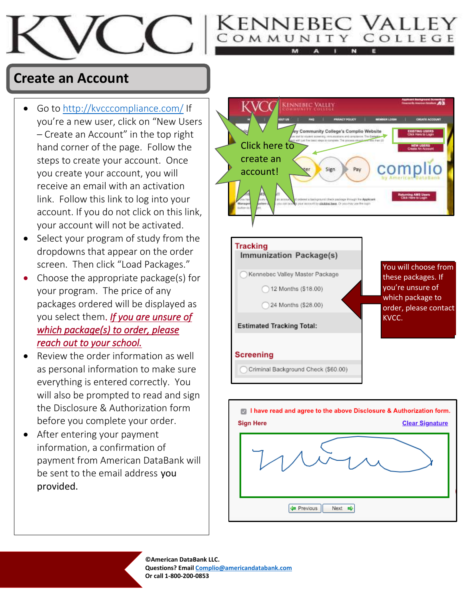

## **Create an Account**

- Go to <http://kvcccompliance.com/> If you're a new user, click on "New Users – Create an Account" in the top right hand corner of the page. Follow the steps to create your account. Once you create your account, you will receive an email with an activation link. Follow this link to log into your account. If you do not click on this link, your account will not be activated.
- Select your program of study from the dropdowns that appear on the order screen. Then click "Load Packages."
- Choose the appropriate package(s) for your program. The price of any packages ordered will be displayed as you select them. *If you are unsure of which package(s) to order, please reach out to your school.*
- Review the order information as well as personal information to make sure everything is entered correctly. You will also be prompted to read and sign the Disclosure & Authorization form before you complete your order.
- After entering your payment information, a confirmation of payment from American DataBank will be sent to the email address you provided.



Cennebec Valle OMMUNITY COLLEGE



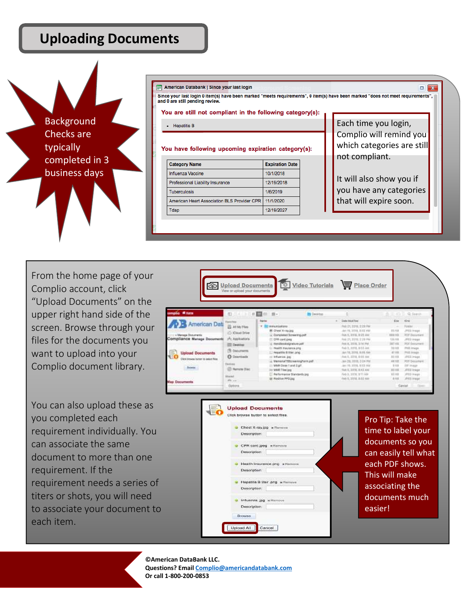#### **Uploading Documents**

1



| and 0 are still pending review.<br>You are still not compliant in the following category(s): |                                     |  | Since your last login 0 item(s) have been marked "meets requirements", 0 item(s) have been marked "does not meet requirements", |
|----------------------------------------------------------------------------------------------|-------------------------------------|--|---------------------------------------------------------------------------------------------------------------------------------|
| <b>Hepatitis B</b>                                                                           | Each time you login,                |  |                                                                                                                                 |
|                                                                                              |                                     |  |                                                                                                                                 |
| You have following upcoming expiration category(s):                                          |                                     |  | which categories are still<br>not compliant.                                                                                    |
| <b>Category Name</b><br>Influenza Vaccine                                                    | <b>Expiration Date</b><br>10/1/2018 |  |                                                                                                                                 |
| Professional Liability Insurance                                                             | 12/19/2018                          |  | It will also show you if                                                                                                        |
| <b>Tuberculosis</b>                                                                          | 1/6/2019                            |  | you have any categories                                                                                                         |
| American Heart Association BLS Provider CPR                                                  | 11/1/2020                           |  | that will expire soon.                                                                                                          |

From the home page of your Complio account, click "Upload Documents" on the upper right hand side of the screen. Browse through your files for the documents you want to upload into your Complio document library.

You can also upload these as you completed each requirement individually. You can associate the same document to more than one requirement. If the requirement needs a series of titers or shots, you will need to associate your document to each item.



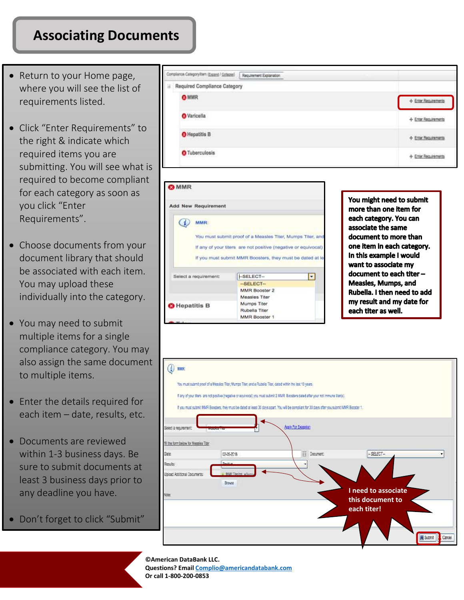### **Associating Documents**

- Return to your Home page, where you will see the list of requirements listed.
- Click "Enter Requirements" to the right & indicate which required items you are submitting. You will see what is required to become compliant for each category as soon as you click "Enter Requirements".
- Choose documents from your document library that should be associated with each item. You may upload these individually into the category.
- You may need to submit multiple items for a single compliance category. You may also assign the same document to multiple items.
- Enter the details required for each item – date, results, etc.
- Documents are reviewed within 1-3 business days. Be sure to submit documents at least 3 business days prior to any deadline you have.
- Don't forget to click "Submit"





You might need to submit more than one item for each category. You can associate the same document to more than one item in each category. In this example I would want to associate my document to each titer -Measles, Mumps, and Rubella. I then need to add my result and my date for each titer as well.

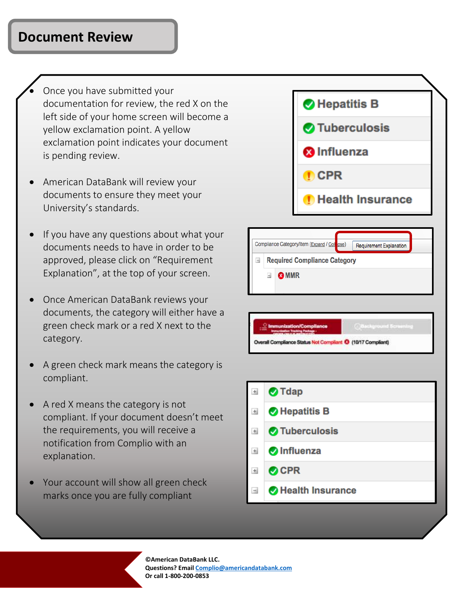#### **Document Review**

- Once you have submitted your documentation for review, the red X on the left side of your home screen will become a yellow exclamation point. A yellow exclamation point indicates your document is pending review.
- American DataBank will review your documents to ensure they meet your University's standards.
- If you have any questions about what your documents needs to have in order to be approved, please click on "Requirement Explanation", at the top of your screen.
- Once American DataBank reviews your documents, the category will either have a green check mark or a red X next to the category.
- A green check mark means the category is compliant.
- A red X means the category is not compliant. If your document doesn't meet the requirements, you will receive a notification from Complio with an explanation.
- Your account will show all green check marks once you are fully compliant



|   |                                     | Compliance Category/Item (Expand / Collipse) |  | Requirement Explanation |  |  |  |
|---|-------------------------------------|----------------------------------------------|--|-------------------------|--|--|--|
| н | <b>Required Compliance Category</b> |                                              |  |                         |  |  |  |
|   | d.                                  | <b>@MMR</b>                                  |  |                         |  |  |  |

Overall Compliance Status Not Compliant @ (10/17 Compliant)